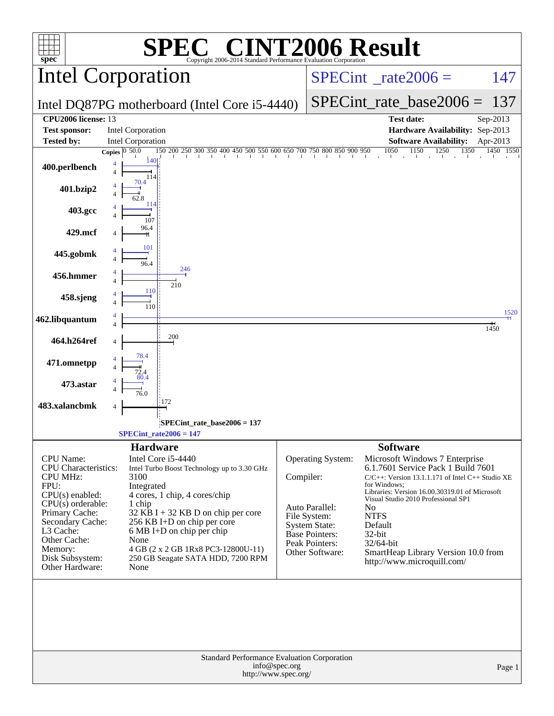| $spec^*$                                        | $\blacksquare$<br>Copyright 2006-2014 Standard Performance Evaluation Corporation                                                                   |           |                                          | <b>INT2006 Result</b>                                                |                       |
|-------------------------------------------------|-----------------------------------------------------------------------------------------------------------------------------------------------------|-----------|------------------------------------------|----------------------------------------------------------------------|-----------------------|
| Intel Corporation                               |                                                                                                                                                     |           |                                          | $SPECint^{\circ}$ rate 2006 =                                        | 147                   |
| Intel DQ87PG motherboard (Intel Core i5-4440)   |                                                                                                                                                     |           |                                          | $SPECint_rate\_base2006 =$                                           | 137                   |
| CPU2006 license: 13                             |                                                                                                                                                     |           |                                          | <b>Test date:</b>                                                    | Sep-2013              |
| <b>Test sponsor:</b>                            | <b>Intel Corporation</b>                                                                                                                            |           |                                          | Hardware Availability: Sep-2013                                      |                       |
| <b>Tested by:</b>                               | <b>Intel Corporation</b><br>$150$ 200 250 300 350 400 450 500 550 600 650 700 750 800 850 900 950 $1050$ $1150$ $1250$ $1350$<br>Copies $ 0, 50.0 $ |           |                                          | <b>Software Availability:</b><br>1350                                | Apr-2013<br>1450 1550 |
| 400.perlbench                                   | 140<br>114                                                                                                                                          |           |                                          |                                                                      |                       |
| 401.bzip2                                       | 70.4                                                                                                                                                |           |                                          |                                                                      |                       |
| 403.gcc                                         | 114<br>107                                                                                                                                          |           |                                          |                                                                      |                       |
| 429.mcf                                         | 96.4                                                                                                                                                |           |                                          |                                                                      |                       |
| 445.gobmk                                       | 101<br>96.4                                                                                                                                         |           |                                          |                                                                      |                       |
| 456.hmmer                                       | 246<br>210                                                                                                                                          |           |                                          |                                                                      |                       |
| 458.sjeng                                       | 110<br>110                                                                                                                                          |           |                                          |                                                                      |                       |
| 462.libquantum                                  |                                                                                                                                                     |           |                                          |                                                                      | 1520<br>1450          |
| 464.h264ref                                     | 200                                                                                                                                                 |           |                                          |                                                                      |                       |
| 471.omnetpp                                     |                                                                                                                                                     |           |                                          |                                                                      |                       |
| 473.astar                                       | 76.0                                                                                                                                                |           |                                          |                                                                      |                       |
| 483.xalancbmk                                   | 172<br>4                                                                                                                                            |           |                                          |                                                                      |                       |
|                                                 | SPECint_rate_base2006 = 137<br>$SPECint_rate2006 = 147$                                                                                             |           |                                          |                                                                      |                       |
|                                                 | <b>Hardware</b>                                                                                                                                     |           |                                          | <b>Software</b>                                                      |                       |
| <b>CPU</b> Name:<br><b>CPU</b> Characteristics: | Intel Core i5-4440<br>Intel Turbo Boost Technology up to 3.30 GHz                                                                                   |           | Operating System:                        | Microsoft Windows 7 Enterprise<br>6.1.7601 Service Pack 1 Build 7601 |                       |
| <b>CPU MHz:</b>                                 | 3100                                                                                                                                                | Compiler: |                                          | $C/C++$ : Version 13.1.1.171 of Intel $C++$ Studio XE                |                       |
| FPU:<br>$CPU(s)$ enabled:                       | Integrated<br>4 cores, 1 chip, 4 cores/chip                                                                                                         |           |                                          | for Windows:<br>Libraries: Version 16.00.30319.01 of Microsoft       |                       |
| CPU(s) orderable:                               | 1 chip                                                                                                                                              |           | Auto Parallel:                           | Visual Studio 2010 Professional SP1<br>N <sub>0</sub>                |                       |
| Primary Cache:<br>Secondary Cache:              | $32$ KB I + 32 KB D on chip per core<br>256 KB I+D on chip per core                                                                                 |           | File System:<br><b>System State:</b>     | <b>NTFS</b><br>Default                                               |                       |
| L3 Cache:<br>Other Cache:                       | 6 MB I+D on chip per chip                                                                                                                           |           | Base Pointers:                           | 32-bit                                                               |                       |
| Memory:                                         | None<br>4 GB (2 x 2 GB 1Rx8 PC3-12800U-11)                                                                                                          |           | <b>Peak Pointers:</b><br>Other Software: | 32/64-bit<br>SmartHeap Library Version 10.0 from                     |                       |
| Disk Subsystem:<br>Other Hardware:              | 250 GB Seagate SATA HDD, 7200 RPM<br>None                                                                                                           |           |                                          | http://www.microquill.com/                                           |                       |
|                                                 |                                                                                                                                                     |           |                                          |                                                                      |                       |
|                                                 | Standard Performance Evaluation Corporation<br>info@spec.org<br>http://www.spec.org/                                                                |           |                                          |                                                                      | Page 1                |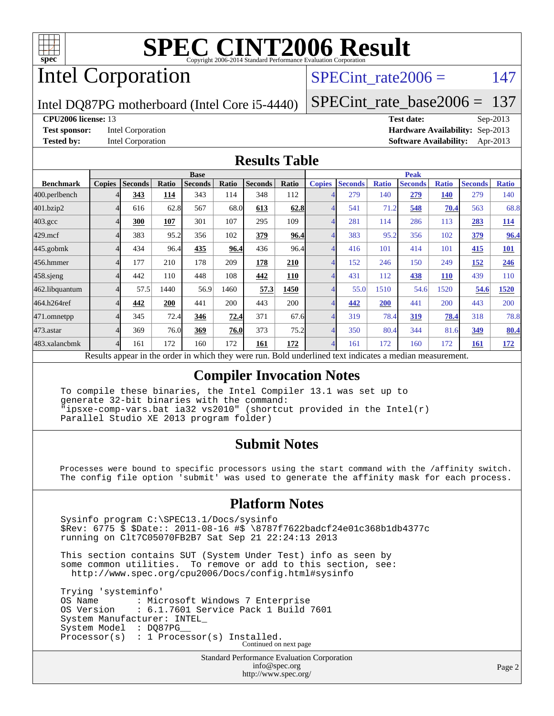

# Intel Corporation

## SPECint rate $2006 = 147$

Intel DQ87PG motherboard (Intel Core i5-4440)

[SPECint\\_rate\\_base2006 =](http://www.spec.org/auto/cpu2006/Docs/result-fields.html#SPECintratebase2006) 137

#### **[CPU2006 license:](http://www.spec.org/auto/cpu2006/Docs/result-fields.html#CPU2006license)** 13 **[Test date:](http://www.spec.org/auto/cpu2006/Docs/result-fields.html#Testdate)** Sep-2013

**[Test sponsor:](http://www.spec.org/auto/cpu2006/Docs/result-fields.html#Testsponsor)** Intel Corporation **[Hardware Availability:](http://www.spec.org/auto/cpu2006/Docs/result-fields.html#HardwareAvailability)** Sep-2013 **[Tested by:](http://www.spec.org/auto/cpu2006/Docs/result-fields.html#Testedby)** Intel Corporation **[Software Availability:](http://www.spec.org/auto/cpu2006/Docs/result-fields.html#SoftwareAvailability)** Apr-2013

#### **[Results Table](http://www.spec.org/auto/cpu2006/Docs/result-fields.html#ResultsTable)**

| <b>Ratio</b><br>140 |
|---------------------|
|                     |
|                     |
| 68.8                |
| <b>114</b>          |
| 96.4                |
| <b>101</b>          |
| 246                 |
| 110                 |
| 1520                |
| 200                 |
| 78.8                |
| 80.4                |
| <u>172</u>          |
|                     |

Results appear in the [order in which they were run.](http://www.spec.org/auto/cpu2006/Docs/result-fields.html#RunOrder) Bold underlined text [indicates a median measurement.](http://www.spec.org/auto/cpu2006/Docs/result-fields.html#Median)

### **[Compiler Invocation Notes](http://www.spec.org/auto/cpu2006/Docs/result-fields.html#CompilerInvocationNotes)**

 To compile these binaries, the Intel Compiler 13.1 was set up to generate 32-bit binaries with the command: "ipsxe-comp-vars.bat ia32 vs2010" (shortcut provided in the Intel(r) Parallel Studio XE 2013 program folder)

### **[Submit Notes](http://www.spec.org/auto/cpu2006/Docs/result-fields.html#SubmitNotes)**

 Processes were bound to specific processors using the start command with the /affinity switch. The config file option 'submit' was used to generate the affinity mask for each process.

### **[Platform Notes](http://www.spec.org/auto/cpu2006/Docs/result-fields.html#PlatformNotes)**

 Sysinfo program C:\SPEC13.1/Docs/sysinfo \$Rev: 6775 \$ \$Date:: 2011-08-16 #\$ \8787f7622badcf24e01c368b1db4377c running on Clt7C05070FB2B7 Sat Sep 21 22:24:13 2013

 This section contains SUT (System Under Test) info as seen by some common utilities. To remove or add to this section, see: <http://www.spec.org/cpu2006/Docs/config.html#sysinfo>

 Trying 'systeminfo' OS Name : Microsoft Windows 7 Enterprise<br>OS Version : 6.1.7601 Service Pack 1 Build : 6.1.7601 Service Pack 1 Build 7601 System Manufacturer: INTEL\_ System Model : DQ87PG Processor(s) : 1 Processor(s) Installed. Continued on next page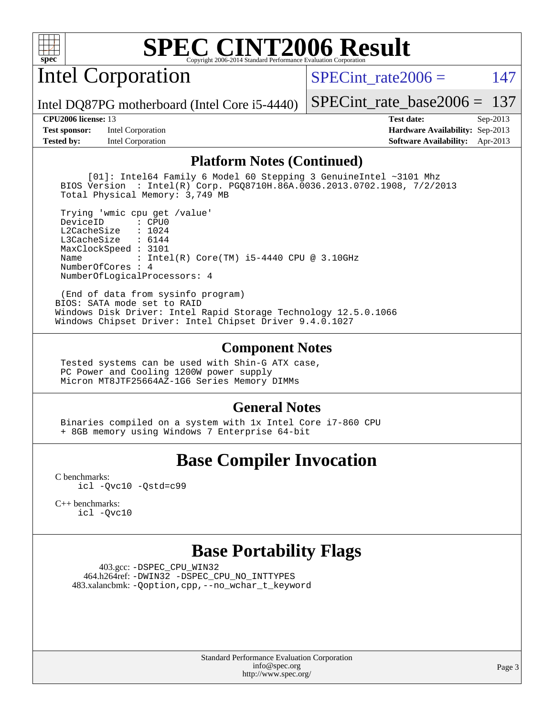

Intel Corporation

SPECint rate $2006 = 147$ 

Intel DQ87PG motherboard (Intel Core i5-4440)

[SPECint\\_rate\\_base2006 =](http://www.spec.org/auto/cpu2006/Docs/result-fields.html#SPECintratebase2006) 137

**[Test sponsor:](http://www.spec.org/auto/cpu2006/Docs/result-fields.html#Testsponsor)** Intel Corporation **[Hardware Availability:](http://www.spec.org/auto/cpu2006/Docs/result-fields.html#HardwareAvailability)** Sep-2013

**[CPU2006 license:](http://www.spec.org/auto/cpu2006/Docs/result-fields.html#CPU2006license)** 13 **[Test date:](http://www.spec.org/auto/cpu2006/Docs/result-fields.html#Testdate)** Sep-2013 **[Tested by:](http://www.spec.org/auto/cpu2006/Docs/result-fields.html#Testedby)** Intel Corporation **[Software Availability:](http://www.spec.org/auto/cpu2006/Docs/result-fields.html#SoftwareAvailability)** Apr-2013

#### **[Platform Notes \(Continued\)](http://www.spec.org/auto/cpu2006/Docs/result-fields.html#PlatformNotes)**

 [01]: Intel64 Family 6 Model 60 Stepping 3 GenuineIntel ~3101 Mhz BIOS Version : Intel(R) Corp. PGQ8710H.86A.0036.2013.0702.1908, 7/2/2013 Total Physical Memory: 3,749 MB

 Trying 'wmic cpu get /value' DeviceID L2CacheSize : 1024 L3CacheSize : 6144 MaxClockSpeed : 3101 Name : Intel(R) Core(TM) i5-4440 CPU @ 3.10GHz NumberOfCores : 4 NumberOfLogicalProcessors: 4

 (End of data from sysinfo program) BIOS: SATA mode set to RAID Windows Disk Driver: Intel Rapid Storage Technology 12.5.0.1066 Windows Chipset Driver: Intel Chipset Driver 9.4.0.1027

#### **[Component Notes](http://www.spec.org/auto/cpu2006/Docs/result-fields.html#ComponentNotes)**

 Tested systems can be used with Shin-G ATX case, PC Power and Cooling 1200W power supply Micron MT8JTF25664AZ-1G6 Series Memory DIMMs

### **[General Notes](http://www.spec.org/auto/cpu2006/Docs/result-fields.html#GeneralNotes)**

 Binaries compiled on a system with 1x Intel Core i7-860 CPU + 8GB memory using Windows 7 Enterprise 64-bit

## **[Base Compiler Invocation](http://www.spec.org/auto/cpu2006/Docs/result-fields.html#BaseCompilerInvocation)**

[C benchmarks](http://www.spec.org/auto/cpu2006/Docs/result-fields.html#Cbenchmarks): [icl -Qvc10](http://www.spec.org/cpu2006/results/res2014q3/cpu2006-20140701-30206.flags.html#user_CCbase_intel_icc_vc10_9607f3ecbcdf68042245f068e51b40c1) [-Qstd=c99](http://www.spec.org/cpu2006/results/res2014q3/cpu2006-20140701-30206.flags.html#user_CCbase_intel_compiler_c99_mode_1a3d110e3041b3ad4466830521bdad2a)

[C++ benchmarks:](http://www.spec.org/auto/cpu2006/Docs/result-fields.html#CXXbenchmarks) [icl -Qvc10](http://www.spec.org/cpu2006/results/res2014q3/cpu2006-20140701-30206.flags.html#user_CXXbase_intel_icc_vc10_9607f3ecbcdf68042245f068e51b40c1)

## **[Base Portability Flags](http://www.spec.org/auto/cpu2006/Docs/result-fields.html#BasePortabilityFlags)**

 403.gcc: [-DSPEC\\_CPU\\_WIN32](http://www.spec.org/cpu2006/results/res2014q3/cpu2006-20140701-30206.flags.html#b403.gcc_baseCPORTABILITY_DSPEC_CPU_WIN32) 464.h264ref: [-DWIN32](http://www.spec.org/cpu2006/results/res2014q3/cpu2006-20140701-30206.flags.html#b464.h264ref_baseCPORTABILITY_DWIN32) [-DSPEC\\_CPU\\_NO\\_INTTYPES](http://www.spec.org/cpu2006/results/res2014q3/cpu2006-20140701-30206.flags.html#b464.h264ref_baseCPORTABILITY_DSPEC_CPU_NO_INTTYPES) 483.xalancbmk: [-Qoption,cpp,--no\\_wchar\\_t\\_keyword](http://www.spec.org/cpu2006/results/res2014q3/cpu2006-20140701-30206.flags.html#user_baseCXXPORTABILITY483_xalancbmk_f-no_wchar_t_keyword_ec0ad4495a16b4e858bfcb29d949d25d)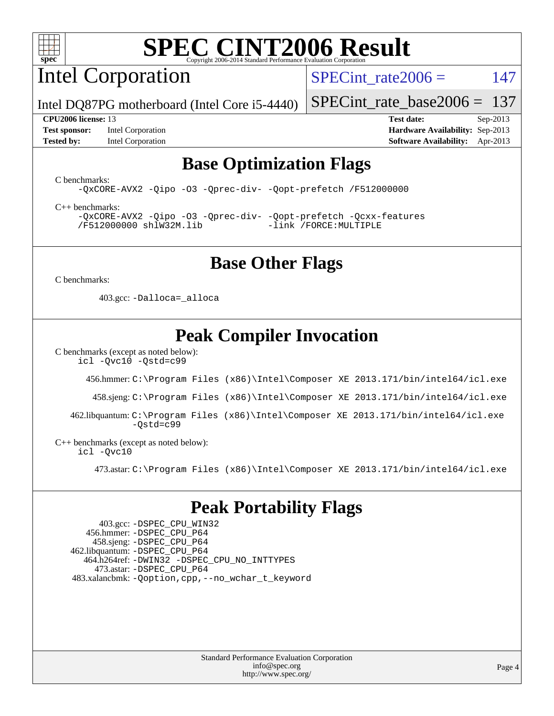

Intel Corporation

SPECint rate $2006 = 147$ 

Intel DQ87PG motherboard (Intel Core i5-4440)

**[Test sponsor:](http://www.spec.org/auto/cpu2006/Docs/result-fields.html#Testsponsor)** Intel Corporation **[Hardware Availability:](http://www.spec.org/auto/cpu2006/Docs/result-fields.html#HardwareAvailability)** Sep-2013 **[Tested by:](http://www.spec.org/auto/cpu2006/Docs/result-fields.html#Testedby)** Intel Corporation **[Software Availability:](http://www.spec.org/auto/cpu2006/Docs/result-fields.html#SoftwareAvailability)** Apr-2013

[SPECint\\_rate\\_base2006 =](http://www.spec.org/auto/cpu2006/Docs/result-fields.html#SPECintratebase2006) 137 **[CPU2006 license:](http://www.spec.org/auto/cpu2006/Docs/result-fields.html#CPU2006license)** 13 **[Test date:](http://www.spec.org/auto/cpu2006/Docs/result-fields.html#Testdate)** Sep-2013

# **[Base Optimization Flags](http://www.spec.org/auto/cpu2006/Docs/result-fields.html#BaseOptimizationFlags)**

[C benchmarks](http://www.spec.org/auto/cpu2006/Docs/result-fields.html#Cbenchmarks):

[-QxCORE-AVX2](http://www.spec.org/cpu2006/results/res2014q3/cpu2006-20140701-30206.flags.html#user_CCbase_f-QxAVX2_f98716b5f9e905f99c943c56f21bf430) [-Qipo](http://www.spec.org/cpu2006/results/res2014q3/cpu2006-20140701-30206.flags.html#user_CCbase_f-Qipo) [-O3](http://www.spec.org/cpu2006/results/res2014q3/cpu2006-20140701-30206.flags.html#user_CCbase_f-O3) [-Qprec-div-](http://www.spec.org/cpu2006/results/res2014q3/cpu2006-20140701-30206.flags.html#user_CCbase_f-Qprec-div-) [-Qopt-prefetch](http://www.spec.org/cpu2006/results/res2014q3/cpu2006-20140701-30206.flags.html#user_CCbase_f-Qprefetch_37c211608666b9dff9380561f602f0a8) [/F512000000](http://www.spec.org/cpu2006/results/res2014q3/cpu2006-20140701-30206.flags.html#user_CCbase_set_stack_space_98438a10eb60aa5f35f4c79d9b9b27b1)

[C++ benchmarks:](http://www.spec.org/auto/cpu2006/Docs/result-fields.html#CXXbenchmarks) [-QxCORE-AVX2](http://www.spec.org/cpu2006/results/res2014q3/cpu2006-20140701-30206.flags.html#user_CXXbase_f-QxAVX2_f98716b5f9e905f99c943c56f21bf430) [-Qipo](http://www.spec.org/cpu2006/results/res2014q3/cpu2006-20140701-30206.flags.html#user_CXXbase_f-Qipo) [-O3](http://www.spec.org/cpu2006/results/res2014q3/cpu2006-20140701-30206.flags.html#user_CXXbase_f-O3) [-Qprec-div-](http://www.spec.org/cpu2006/results/res2014q3/cpu2006-20140701-30206.flags.html#user_CXXbase_f-Qprec-div-) [-Qopt-prefetch](http://www.spec.org/cpu2006/results/res2014q3/cpu2006-20140701-30206.flags.html#user_CXXbase_f-Qprefetch_37c211608666b9dff9380561f602f0a8) [-Qcxx-features](http://www.spec.org/cpu2006/results/res2014q3/cpu2006-20140701-30206.flags.html#user_CXXbase_f-Qcxx_features_dbf36c8a6dba956e22f1645e4dcd4d98) [/F512000000](http://www.spec.org/cpu2006/results/res2014q3/cpu2006-20140701-30206.flags.html#user_CXXbase_set_stack_space_98438a10eb60aa5f35f4c79d9b9b27b1) [shlW32M.lib](http://www.spec.org/cpu2006/results/res2014q3/cpu2006-20140701-30206.flags.html#user_CXXbase_SmartHeap32_d106338dfda1a055705c9b519e07f096) [-link /FORCE:MULTIPLE](http://www.spec.org/cpu2006/results/res2014q3/cpu2006-20140701-30206.flags.html#user_CXXbase_link_force_multiple2_070fe330869edf77077b841074b8b0b6)

# **[Base Other Flags](http://www.spec.org/auto/cpu2006/Docs/result-fields.html#BaseOtherFlags)**

[C benchmarks](http://www.spec.org/auto/cpu2006/Docs/result-fields.html#Cbenchmarks):

403.gcc: [-Dalloca=\\_alloca](http://www.spec.org/cpu2006/results/res2014q3/cpu2006-20140701-30206.flags.html#b403.gcc_baseEXTRA_CFLAGS_Dalloca_be3056838c12de2578596ca5467af7f3)

# **[Peak Compiler Invocation](http://www.spec.org/auto/cpu2006/Docs/result-fields.html#PeakCompilerInvocation)**

[C benchmarks \(except as noted below\)](http://www.spec.org/auto/cpu2006/Docs/result-fields.html#Cbenchmarksexceptasnotedbelow):

[icl -Qvc10](http://www.spec.org/cpu2006/results/res2014q3/cpu2006-20140701-30206.flags.html#user_CCpeak_intel_icc_vc10_9607f3ecbcdf68042245f068e51b40c1) [-Qstd=c99](http://www.spec.org/cpu2006/results/res2014q3/cpu2006-20140701-30206.flags.html#user_CCpeak_intel_compiler_c99_mode_1a3d110e3041b3ad4466830521bdad2a)

456.hmmer: [C:\Program Files \(x86\)\Intel\Composer XE 2013.171/bin/intel64/icl.exe](http://www.spec.org/cpu2006/results/res2014q3/cpu2006-20140701-30206.flags.html#user_peakCCLD456_hmmer_intel_icc_64bit_a47adb23ffeeb40a4c72a454746f326c)

458.sjeng: [C:\Program Files \(x86\)\Intel\Composer XE 2013.171/bin/intel64/icl.exe](http://www.spec.org/cpu2006/results/res2014q3/cpu2006-20140701-30206.flags.html#user_peakCCLD458_sjeng_intel_icc_64bit_a47adb23ffeeb40a4c72a454746f326c)

 462.libquantum: [C:\Program Files \(x86\)\Intel\Composer XE 2013.171/bin/intel64/icl.exe](http://www.spec.org/cpu2006/results/res2014q3/cpu2006-20140701-30206.flags.html#user_peakCCLD462_libquantum_intel_icc_64bit_a47adb23ffeeb40a4c72a454746f326c)  $-Ostd=c99$ 

[C++ benchmarks \(except as noted below\):](http://www.spec.org/auto/cpu2006/Docs/result-fields.html#CXXbenchmarksexceptasnotedbelow) [icl -Qvc10](http://www.spec.org/cpu2006/results/res2014q3/cpu2006-20140701-30206.flags.html#user_CXXpeak_intel_icc_vc10_9607f3ecbcdf68042245f068e51b40c1)

473.astar: [C:\Program Files \(x86\)\Intel\Composer XE 2013.171/bin/intel64/icl.exe](http://www.spec.org/cpu2006/results/res2014q3/cpu2006-20140701-30206.flags.html#user_peakCXXLD473_astar_intel_icc_64bit_a47adb23ffeeb40a4c72a454746f326c)

## **[Peak Portability Flags](http://www.spec.org/auto/cpu2006/Docs/result-fields.html#PeakPortabilityFlags)**

 403.gcc: [-DSPEC\\_CPU\\_WIN32](http://www.spec.org/cpu2006/results/res2014q3/cpu2006-20140701-30206.flags.html#b403.gcc_peakCPORTABILITY_DSPEC_CPU_WIN32) 456.hmmer: [-DSPEC\\_CPU\\_P64](http://www.spec.org/cpu2006/results/res2014q3/cpu2006-20140701-30206.flags.html#suite_peakPORTABILITY456_hmmer_DSPEC_CPU_P64) 458.sjeng: [-DSPEC\\_CPU\\_P64](http://www.spec.org/cpu2006/results/res2014q3/cpu2006-20140701-30206.flags.html#suite_peakPORTABILITY458_sjeng_DSPEC_CPU_P64) 462.libquantum: [-DSPEC\\_CPU\\_P64](http://www.spec.org/cpu2006/results/res2014q3/cpu2006-20140701-30206.flags.html#suite_peakPORTABILITY462_libquantum_DSPEC_CPU_P64) 464.h264ref: [-DWIN32](http://www.spec.org/cpu2006/results/res2014q3/cpu2006-20140701-30206.flags.html#b464.h264ref_peakCPORTABILITY_DWIN32) [-DSPEC\\_CPU\\_NO\\_INTTYPES](http://www.spec.org/cpu2006/results/res2014q3/cpu2006-20140701-30206.flags.html#b464.h264ref_peakCPORTABILITY_DSPEC_CPU_NO_INTTYPES) 473.astar: [-DSPEC\\_CPU\\_P64](http://www.spec.org/cpu2006/results/res2014q3/cpu2006-20140701-30206.flags.html#suite_peakPORTABILITY473_astar_DSPEC_CPU_P64) 483.xalancbmk: [-Qoption,cpp,--no\\_wchar\\_t\\_keyword](http://www.spec.org/cpu2006/results/res2014q3/cpu2006-20140701-30206.flags.html#user_peakCXXPORTABILITY483_xalancbmk_f-no_wchar_t_keyword_ec0ad4495a16b4e858bfcb29d949d25d)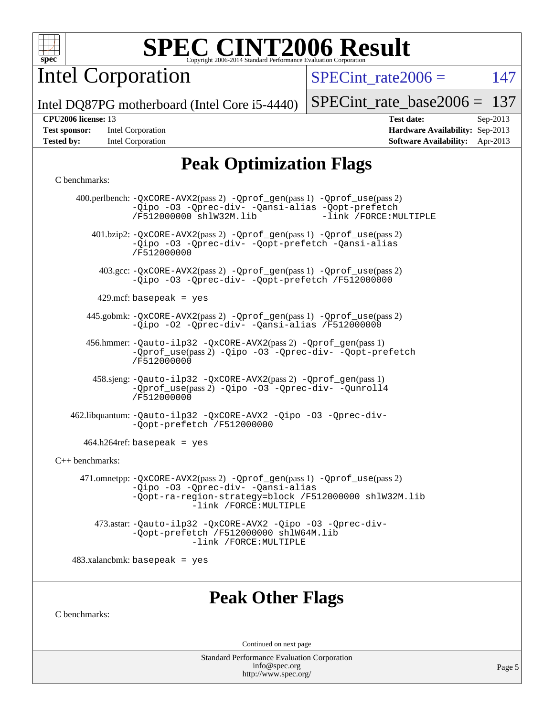

Intel Corporation

 $SPECTnt_rate2006 = 147$ 

Intel DQ87PG motherboard (Intel Core i5-4440)

| <b>Test sponsor:</b> | Intel Corporation |
|----------------------|-------------------|
| <b>Tested by:</b>    | Intel Corporation |

[SPECint\\_rate\\_base2006 =](http://www.spec.org/auto/cpu2006/Docs/result-fields.html#SPECintratebase2006) 137

**[CPU2006 license:](http://www.spec.org/auto/cpu2006/Docs/result-fields.html#CPU2006license)** 13 **[Test date:](http://www.spec.org/auto/cpu2006/Docs/result-fields.html#Testdate)** Sep-2013 **[Hardware Availability:](http://www.spec.org/auto/cpu2006/Docs/result-fields.html#HardwareAvailability)** Sep-2013 **[Software Availability:](http://www.spec.org/auto/cpu2006/Docs/result-fields.html#SoftwareAvailability)** Apr-2013

# **[Peak Optimization Flags](http://www.spec.org/auto/cpu2006/Docs/result-fields.html#PeakOptimizationFlags)**

#### [C benchmarks](http://www.spec.org/auto/cpu2006/Docs/result-fields.html#Cbenchmarks):

|                      | 400.perlbench: -QxCORE-AVX2(pass 2) -Qprof_gen(pass 1) -Qprof_use(pass 2)<br>-Qipo -03 -Qprec-div- -Qansi-alias -Qopt-prefetch<br>-link /FORCE: MULTIPLE<br>/F512000000 shlW32M.lib               |
|----------------------|---------------------------------------------------------------------------------------------------------------------------------------------------------------------------------------------------|
|                      | 401.bzip2: -QxCORE-AVX2(pass 2) -Qprof_gen(pass 1) -Qprof_use(pass 2)<br>-Qipo -03 -Qprec-div- -Qopt-prefetch -Qansi-alias<br>/F512000000                                                         |
|                      | 403.gcc: -QxCORE-AVX2(pass 2) -Qprof_gen(pass 1) -Qprof_use(pass 2)<br>-Qipo -03 -Qprec-div- -Qopt-prefetch /F512000000                                                                           |
|                      | 429.mcf: basepeak = $yes$                                                                                                                                                                         |
|                      | 445.gobmk: -QxCORE-AVX2(pass 2) -Qprof_gen(pass 1) -Qprof_use(pass 2)<br>-Qipo -02 -Qprec-div- -Qansi-alias /F512000000                                                                           |
|                      | 456.hmmer: -Qauto-ilp32 -QxCORE-AVX2(pass 2) -Qprof_gen(pass 1)<br>-Oprof_use(pass 2) -Qipo -03 -Oprec-div- -Qopt-prefetch<br>/F512000000                                                         |
|                      | 458.sjeng: -Qauto-ilp32 -QxCORE-AVX2(pass 2) -Qprof_gen(pass 1)<br>-Qprof_use(pass 2) -Qipo -03 -Qprec-div- -Qunroll4<br>/F512000000                                                              |
|                      | 462.libquantum: -Qauto-ilp32 -QxCORE-AVX2 -Qipo -03 -Qprec-div-<br>-Qopt-prefetch /F512000000                                                                                                     |
|                      | $464.h264 \text{ref}$ : basepeak = yes                                                                                                                                                            |
| $C_{++}$ benchmarks: |                                                                                                                                                                                                   |
|                      | 471.omnetpp: -QxCORE-AVX2(pass 2) -Qprof_gen(pass 1) -Qprof_use(pass 2)<br>-Qipo -03 -Qprec-div- -Qansi-alias<br>-Qopt-ra-region-strategy=block /F512000000 shlW32M.lib<br>-link /FORCE: MULTIPLE |
|                      | 473.astar: -Qauto-ilp32 -QxCORE-AVX2 -Qipo -03 -Qprec-div-<br>-Qopt-prefetch /F512000000 shlW64M.lib<br>-link /FORCE: MULTIPLE                                                                    |
|                      | $483.xalanchmk: basepeak = yes$                                                                                                                                                                   |
| C benchmarks:        | <b>Peak Other Flags</b>                                                                                                                                                                           |
|                      | Continued on next page                                                                                                                                                                            |